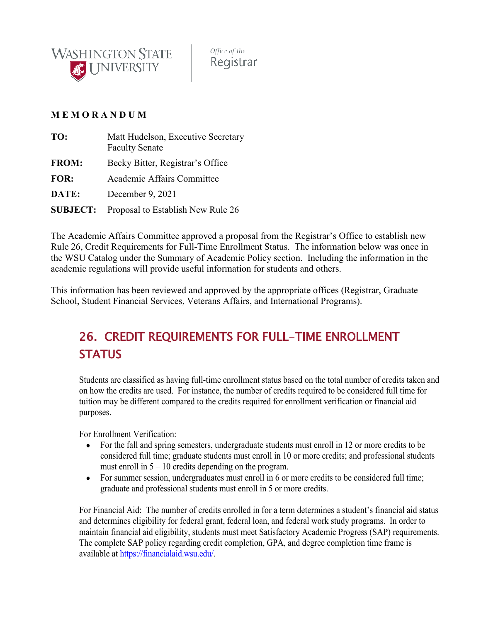

Office of the Registrar

## **M E M O R A N D U M**

| TO:             | Matt Hudelson, Executive Secretary<br><b>Faculty Senate</b> |
|-----------------|-------------------------------------------------------------|
| <b>FROM:</b>    | Becky Bitter, Registrar's Office                            |
| FOR:            | Academic Affairs Committee                                  |
| DATE:           | December 9, 2021                                            |
| <b>SUBJECT:</b> | Proposal to Establish New Rule 26                           |

The Academic Affairs Committee approved a proposal from the Registrar's Office to establish new Rule 26, Credit Requirements for Full-Time Enrollment Status. The information below was once in the WSU Catalog under the Summary of Academic Policy section. Including the information in the academic regulations will provide useful information for students and others.

This information has been reviewed and approved by the appropriate offices (Registrar, Graduate School, Student Financial Services, Veterans Affairs, and International Programs).

## 26. CREDIT REQUIREMENTS FOR FULL-TIME ENROLLMENT **STATUS**

Students are classified as having full-time enrollment status based on the total number of credits taken and on how the credits are used. For instance, the number of credits required to be considered full time for tuition may be different compared to the credits required for enrollment verification or financial aid purposes.

For Enrollment Verification:

- For the fall and spring semesters, undergraduate students must enroll in 12 or more credits to be considered full time; graduate students must enroll in 10 or more credits; and professional students must enroll in  $5 - 10$  credits depending on the program.
- For summer session, undergraduates must enroll in 6 or more credits to be considered full time; graduate and professional students must enroll in 5 or more credits.

For Financial Aid: The number of credits enrolled in for a term determines a student's financial aid status and determines eligibility for federal grant, federal loan, and federal work study programs. In order to maintain financial aid eligibility, students must meet Satisfactory Academic Progress (SAP) requirements. The complete SAP policy regarding credit completion, GPA, and degree completion time frame is available at [https://financialaid.wsu.edu/.](https://financialaid.wsu.edu/)